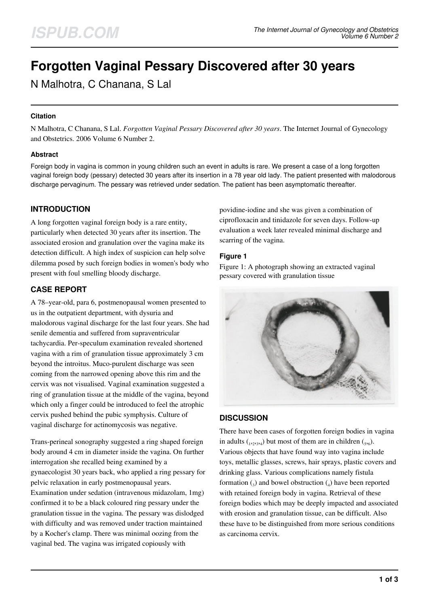# **Forgotten Vaginal Pessary Discovered after 30 years**

N Malhotra, C Chanana, S Lal

## **Citation**

N Malhotra, C Chanana, S Lal. *Forgotten Vaginal Pessary Discovered after 30 years*. The Internet Journal of Gynecology and Obstetrics. 2006 Volume 6 Number 2.

### **Abstract**

Foreign body in vagina is common in young children such an event in adults is rare. We present a case of a long forgotten vaginal foreign body (pessary) detected 30 years after its insertion in a 78 year old lady. The patient presented with malodorous discharge pervaginum. The pessary was retrieved under sedation. The patient has been asymptomatic thereafter.

# **INTRODUCTION**

A long forgotten vaginal foreign body is a rare entity, particularly when detected 30 years after its insertion. The associated erosion and granulation over the vagina make its detection difficult. A high index of suspicion can help solve dilemma posed by such foreign bodies in women's body who present with foul smelling bloody discharge.

# **CASE REPORT**

A 78–year-old, para 6, postmenopausal women presented to us in the outpatient department, with dysuria and malodorous vaginal discharge for the last four years. She had senile dementia and suffered from supraventricular tachycardia. Per-speculum examination revealed shortened vagina with a rim of granulation tissue approximately 3 cm beyond the introitus. Muco-purulent discharge was seen coming from the narrowed opening above this rim and the cervix was not visualised. Vaginal examination suggested a ring of granulation tissue at the middle of the vagina, beyond which only a finger could be introduced to feel the atrophic cervix pushed behind the pubic symphysis. Culture of vaginal discharge for actinomycosis was negative.

Trans-perineal sonography suggested a ring shaped foreign body around 4 cm in diameter inside the vagina. On further interrogation she recalled being examined by a gynaecologist 30 years back, who applied a ring pessary for pelvic relaxation in early postmenopausal years. Examination under sedation (intravenous midazolam, 1mg) confirmed it to be a black coloured ring pessary under the granulation tissue in the vagina. The pessary was dislodged with difficulty and was removed under traction maintained by a Kocher's clamp. There was minimal oozing from the vaginal bed. The vagina was irrigated copiously with

povidine-iodine and she was given a combination of ciprofloxacin and tinidazole for seven days. Follow-up evaluation a week later revealed minimal discharge and scarring of the vagina.

## **Figure 1**

Figure 1: A photograph showing an extracted vaginal pessary covered with granulation tissue



## **DISCUSSION**

There have been cases of forgotten foreign bodies in vagina in adults  $_{(1,2,3,4)}$  but most of them are in children  $_{(5,6)}$ . Various objects that have found way into vagina include toys, metallic glasses, screws, hair sprays, plastic covers and drinking glass. Various complications namely fistula formation  $\binom{1}{3}$  and bowel obstruction  $\binom{1}{4}$  have been reported with retained foreign body in vagina. Retrieval of these foreign bodies which may be deeply impacted and associated with erosion and granulation tissue, can be difficult. Also these have to be distinguished from more serious conditions as carcinoma cervix.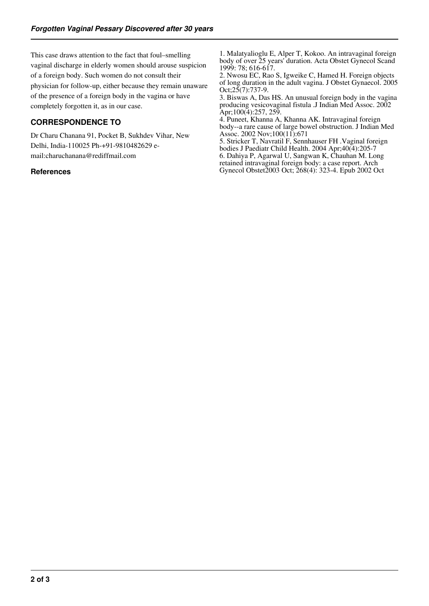This case draws attention to the fact that foul–smelling vaginal discharge in elderly women should arouse suspicion of a foreign body. Such women do not consult their physician for follow-up, either because they remain unaware of the presence of a foreign body in the vagina or have completely forgotten it, as in our case.

# **CORRESPONDENCE TO**

Dr Charu Chanana 91, Pocket B, Sukhdev Vihar, New Delhi, India-110025 Ph-+91-9810482629 email:charuchanana@rediffmail.com

### **References**

1. Malatyalioglu E, Alper T, Kokoo. An intravaginal foreign body of over 25 years' duration. Acta Obstet Gynecol Scand 1999: 78; 616-617.

2. Nwosu EC, Rao S, Igweike C, Hamed H. Foreign objects of long duration in the adult vagina. J Obstet Gynaecol. 2005  $Oct; 25(7): 737-9.$ 

3. Biswas A, Das HS. An unusual foreign body in the vagina producing vesicovaginal fistula .J Indian Med Assoc. 2002 Apr;100(4):257, 259.

4. Puneet, Khanna A, Khanna AK. Intravaginal foreign body--a rare cause of large bowel obstruction. J Indian Med Assoc. 2002 Nov;100(11):671

5. Stricker T, Navratil F, Sennhauser FH .Vaginal foreign bodies J Paediatr Child Health. 2004 Apr;40(4):205-7 6. Dahiya P, Agarwal U, Sangwan K, Chauhan M. Long retained intravaginal foreign body: a case report. Arch Gynecol Obstet2003 Oct; 268(4): 323-4. Epub 2002 Oct